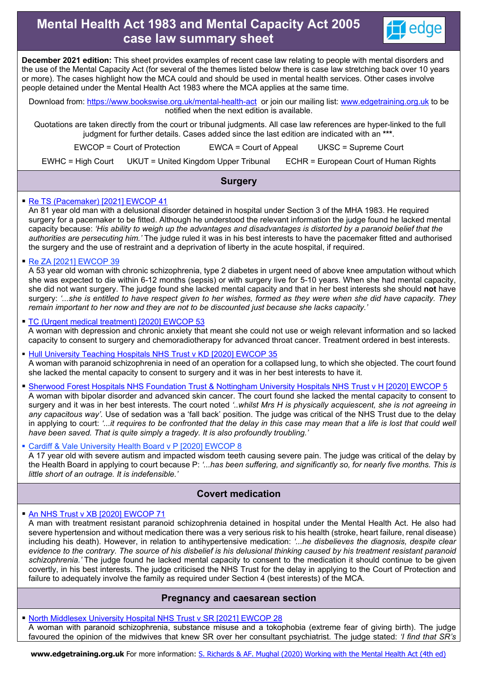# **Mental Health Act 1983 and Mental Capacity Act 2005 case law summary sheet**



**December 2021 edition:** This sheet provides examples of recent case law relating to people with mental disorders and the use of the Mental Capacity Act (for several of the themes listed below there is case law stretching back over 10 years or more). The cases highlight how the MCA could and should be used in mental health services. Other cases involve people detained under the Mental Health Act 1983 where the MCA applies at the same time.

Download from:<https://www.bookswise.org.uk/mental-health-act>or join our mailing list: [www.edgetraining.org.uk](https://www.edgetraining.org.uk/contact-us/subscribe/) to be notified when the next edition is available.

Quotations are taken directly from the court or tribunal judgments. All case law references are hyper-linked to the full judgment for further details. Cases added since the last edition are indicated with an **\*\*\***.

EWCOP = Court of Protection EWCA = Court of Appeal UKSC = Supreme Court EWHC = High Court UKUT = United Kingdom Upper Tribunal ECHR = European Court of Human Rights

# **Surgery**

### [Re TS \(Pacemaker\) \[2021\] EWCOP 41](https://www.bailii.org/ew/cases/EWCOP/2021/41.html)

An 81 year old man with a delusional disorder detained in hospital under Section 3 of the MHA 1983. He required surgery for a pacemaker to be fitted. Although he understood the relevant information the judge found he lacked mental capacity because: *'His ability to weigh up the advantages and disadvantages is distorted by a paranoid belief that the authorities are persecuting him.'* The judge ruled it was in his best interests to have the pacemaker fitted and authorised the surgery and the use of restraint and a deprivation of liberty in the acute hospital, if required.

[Re ZA \[2021\] EWCOP 39](https://www.bailii.org/ew/cases/EWCOP/2021/39.html)

A 53 year old woman with chronic schizophrenia, type 2 diabetes in urgent need of above knee amputation without which she was expected to die within 6-12 months (sepsis) or with surgery live for 5-10 years. When she had mental capacity, she did not want surgery. The judge found she lacked mental capacity and that in her best interests she should **not** have surgery: *'...she is entitled to have respect given to her wishes, formed as they were when she did have capacity. They remain important to her now and they are not to be discounted just because she lacks capacity.'*

### [TC \(Urgent medical treatment\) \[2020\] EWCOP 53](https://www.bailii.org/ew/cases/EWCOP/2020/53.html)

A woman with depression and chronic anxiety that meant she could not use or weigh relevant information and so lacked capacity to consent to surgery and chemoradiotherapy for advanced throat cancer. Treatment ordered in best interests.

**[Hull University Teaching Hospitals NHS Trust v KD \[2020\] EWCOP 35](https://www.bailii.org/ew/cases/EWCOP/2020/35.html)** A woman with paranoid schizophrenia in need of an operation for a collapsed lung, to which she objected. The court found she lacked the mental capacity to consent to surgery and it was in her best interests to have it.

 [Sherwood Forest Hospitals NHS Foundation Trust & Nottingham University Hospitals NHS Trust v H \[2020\] EWCOP 5](https://www.bailii.org/ew/cases/EWCOP/2020/5.html) A woman with bipolar disorder and advanced skin cancer. The court found she lacked the mental capacity to consent to surgery and it was in her best interests. The court noted *'..whilst Mrs H is physically acquiescent, she is not agreeing in any capacitous way'.* Use of sedation was a 'fall back' position. The judge was critical of the NHS Trust due to the delay

in applying to court: '...it requires to be confronted that the delay in this case may mean that a life is lost that could well

### [Cardiff & Vale University Health Board v P \[2020\] EWCOP 8](https://www.bailii.org/ew/cases/EWCOP/2020/8.html)

*have been saved. That is quite simply a tragedy. It is also profoundly troubling.'*

A 17 year old with severe autism and impacted wisdom teeth causing severe pain. The judge was critical of the delay by the Health Board in applying to court because P: *'...has been suffering, and significantly so, for nearly five months. This is little short of an outrage. It is indefensible.'* 

# **Covert medication**

### [An NHS Trust v XB \[2020\] EWCOP 71](https://www.bailii.org/ew/cases/EWCOP/2020/71.html)

A man with treatment resistant paranoid schizophrenia detained in hospital under the Mental Health Act. He also had severe hypertension and without medication there was a very serious risk to his health (stroke, heart failure, renal disease) including his death). However, in relation to antihypertensive medication: *'...he disbelieves the diagnosis, despite clear evidence to the contrary. The source of his disbelief is his delusional thinking caused by his treatment resistant paranoid schizophrenia.'* The judge found he lacked mental capacity to consent to the medication it should continue to be given covertly, in his best interests. The judge criticised the NHS Trust for the delay in applying to the Court of Protection and failure to adequately involve the family as required under Section 4 (best interests) of the MCA.

# **Pregnancy and caesarean section**

 [North Middlesex University Hospital NHS Trust v SR \[2021\] EWCOP 28](https://www.bailii.org/ew/cases/EWCOP/2021/58.html)  A woman with paranoid schizophrenia, substance misuse and a tokophobia (extreme fear of giving birth). The judge favoured the opinion of the midwives that knew SR over her consultant psychiatrist. The judge stated: *'I find that SR's* 

**www.edgetraining.org.uk** For more information: [S. Richards & AF. Mughal \(2020\) Working with the Mental Health Act \(4th ed\)](https://www.bookswise.org.uk/mental-health-act)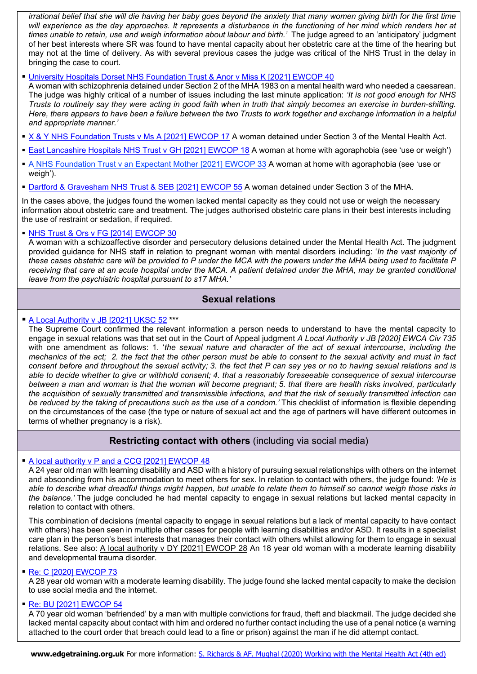*irrational belief that she will die having her baby goes beyond the anxiety that many women giving birth for the first time will experience as the day approaches. It represents a disturbance in the functioning of her mind which renders her at times unable to retain, use and weigh information about labour and birth.'* The judge agreed to an 'anticipatory' judgment of her best interests where SR was found to have mental capacity about her obstetric care at the time of the hearing but may not at the time of delivery. As with several previous cases the judge was critical of the NHS Trust in the delay in bringing the case to court.

#### [University Hospitals Dorset NHS Foundation Trust & Anor v Miss K \[2021\] EWCOP 40](https://www.bailii.org/ew/cases/EWCOP/2021/40.html)

A woman with schizophrenia detained under Section 2 of the MHA 1983 on a mental health ward who needed a caesarean. The judge was highly critical of a number of issues including the last minute application: *'It is not good enough for NHS Trusts to routinely say they were acting in good faith when in truth that simply becomes an exercise in burden-shifting. Here, there appears to have been a failure between the two Trusts to work together and exchange information in a helpful and appropriate manner.'*

- [X & Y NHS Foundation Trusts v Ms A \[2021\] EWCOP 17](https://www.bailii.org/ew/cases/EWCOP/2021/17.html) A woman detained under Section 3 of the Mental Health Act.
- [East Lancashire Hospitals NHS Trust v GH \[2021\] EWCOP 18](https://www.bailii.org/ew/cases/EWCOP/2021/18.html) A woman at home with agoraphobia (see 'use or weigh')
- [A NHS Foundation Trust v an Expectant Mother \[2021\] EWCOP 33](https://www.bailii.org/ew/cases/EWCOP/2021/33.html) A woman at home with agoraphobia (see 'use or weigh').
- [Dartford & Gravesham NHS Trust & SEB \[2021\] EWCOP 55](https://www.bailii.org/ew/cases/EWCOP/2021/55.html) A woman detained under Section 3 of the MHA.

In the cases above, the judges found the women lacked mental capacity as they could not use or weigh the necessary information about obstetric care and treatment. The judges authorised obstetric care plans in their best interests including the use of restraint or sedation, if required.

### • NHS Trust & Ors v FG [2014] EWCOP 30

A woman with a schizoaffective disorder and persecutory delusions detained under the Mental Health Act. The judgment provided guidance for NHS staff in relation to pregnant woman with mental disorders including: '*In the vast majority of these cases obstetric care will be provided to P under the MCA with the powers under the MHA being used to facilitate P*  receiving that care at an acute hospital under the MCA. A patient detained under the MHA, may be granted conditional *leave from the psychiatric hospital pursuant to s17 MHA.'*

# **Sexual relations**

#### [A Local Authority v JB \[2021\] UKSC 52](https://www.bailii.org/uk/cases/UKSC/2021/52.html) **\*\*\***

The Supreme Court confirmed the relevant information a person needs to understand to have the mental capacity to engage in sexual relations was that set out in the Court of Appeal judgment *[A Local Authority v JB \[2020\] EWCA Civ 735](https://www.bailii.org/ew/cases/EWCA/Civ/2020/735.html)* with one amendment as follows: 1. '*the sexual nature and character of the act of sexual intercourse, including the mechanics of the act; 2. the fact that the other person must be able to consent to the sexual activity and must in fact consent before and throughout the sexual activity; 3. the fact that P can say yes or no to having sexual relations and is able to decide whether to give or withhold consent; 4. that a reasonably foreseeable consequence of sexual intercourse between a man and woman is that the woman will become pregnant; 5. that there are health risks involved, particularly the acquisition of sexually transmitted and transmissible infections, and that the risk of sexually transmitted infection can* be reduced by the taking of precautions such as the use of a condom.' This checklist of information is flexible depending on the circumstances of the case (the type or nature of sexual act and the age of partners will have different outcomes in terms of whether pregnancy is a risk).

# **Restricting contact with others** (including via social media)

### [A local authority v P and a CCG \[2021\] EWCOP 48](https://www.bailii.org/ew/cases/EWCOP/2021/48.html)

A 24 year old man with learning disability and ASD with a history of pursuing sexual relationships with others on the internet and absconding from his accommodation to meet others for sex. In relation to contact with others, the judge found: *'He is able to describe what dreadful things might happen, but unable to relate them to himself so cannot weigh those risks in the balance.'* The judge concluded he had mental capacity to engage in sexual relations but lacked mental capacity in relation to contact with others.

This combination of decisions (mental capacity to engage in sexual relations but a lack of mental capacity to have contact with others) has been seen in multiple other cases for people with learning disabilities and/or ASD. It results in a specialist care plan in the person's best interests that manages their contact with others whilst allowing for them to engage in sexual relations. See also: [A local authority v DY \[2021\] EWCOP 28](https://www.bailii.org/ew/cases/EWCOP/2021/28.html) An 18 year old woman with a moderate learning disability and developmental trauma disorder.

#### [Re: C \[2020\] EWCOP 73](https://www.bailii.org/ew/cases/EWCOP/2020/73.html)

A 28 year old woman with a moderate learning disability. The judge found she lacked mental capacity to make the decision to use social media and the internet.

#### [Re: BU \[2021\] EWCOP 54](https://www.bailii.org/ew/cases/EWCOP/2021/54.html)

A 70 year old woman 'befriended' by a man with multiple convictions for fraud, theft and blackmail. The judge decided she lacked mental capacity about contact with him and ordered no further contact including the use of a penal notice (a warning attached to the court order that breach could lead to a fine or prison) against the man if he did attempt contact.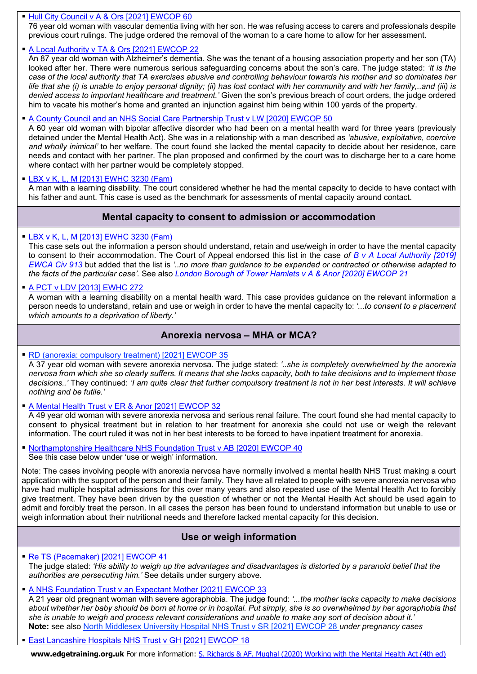### • [Hull](https://www.bailii.org/ew/cases/EWCOP/2021/60.html) [City](https://www.bailii.org/ew/cases/EWCOP/2021/60.html) [Council](https://www.bailii.org/ew/cases/EWCOP/2021/60.html) [v](https://www.bailii.org/ew/cases/EWCOP/2021/60.html) [A](https://www.bailii.org/ew/cases/EWCOP/2021/60.html) [&](https://www.bailii.org/ew/cases/EWCOP/2021/60.html) [Ors](https://www.bailii.org/ew/cases/EWCOP/2021/60.html) [\[2021\]](https://www.bailii.org/ew/cases/EWCOP/2021/60.html) [EWCOP](https://www.bailii.org/ew/cases/EWCOP/2021/60.html) [60](https://www.bailii.org/ew/cases/EWCOP/2021/60.html)

76 year old woman with vascular dementia living with her son. He was refusing access to carers and professionals despite previous court rulings. The judge ordered the removal of the woman to a care home to allow for her assessment.

# [A Local Authority v TA & Ors \[2021\] EWCOP 22](https://www.bailii.org/ew/cases/EWCOP/2021/22.html)

An 87 year old woman with Alzheimer's dementia. She was the tenant of a housing association property and her son (TA) looked after her. There were numerous serious safeguarding concerns about the son's care. The judge stated: *'It is the case of the local authority that TA exercises abusive and controlling behaviour towards his mother and so dominates her life that she (i) is unable to enjoy personal dignity; (ii) has lost contact with her community and with her family,..and (iii) is denied access to important healthcare and treatment.'* Given the son's previous breach of court orders, the judge ordered him to vacate his mother's home and granted an injunction against him being within 100 yards of the property.

### [A County Council and an NHS Social Care Partnership Trust v LW \[2020\] EWCOP 50](https://www.bailii.org/ew/cases/EWCOP/2020/50.pdf)

A 60 year old woman with bipolar affective disorder who had been on a mental health ward for three years (previously detained under the Mental Health Act). She was in a relationship with a man described as *'abusive, exploitative, coercive and wholly inimical'* to her welfare. The court found she lacked the mental capacity to decide about her residence, care needs and contact with her partner. The plan proposed and confirmed by the court was to discharge her to a care home where contact with her partner would be completely stopped.

[LBX v K, L, M \[2013\] EWHC 3230 \(Fam\)](https://www.bailii.org/ew/cases/EWHC/Fam/2013/3230.html)

A man with a learning disability. The court considered whether he had the mental capacity to decide to have contact with his father and aunt. This case is used as the benchmark for assessments of mental capacity around contact.

# **Mental capacity to consent to admission or accommodation**

### [LBX v K, L, M \[2013\] EWHC 3230 \(Fam\)](https://www.bailii.org/ew/cases/EWHC/Fam/2013/3230.html)

This case sets out the information a person should understand, retain and use/weigh in order to have the mental capacity to consent to their accommodation. The Court of Appeal endorsed this list in the case *of [B v A Local Authority \[2019\]](https://www.bailii.org/ew/cases/EWCA/Civ/2019/913.html)  [EWCA Civ 913](https://www.bailii.org/ew/cases/EWCA/Civ/2019/913.html)* but added that the list is *'..no more than guidance to be expanded or contracted or otherwise adapted to the facts of the particular case'.* See also *[London Borough of Tower Hamlets v A & Anor \[2020\] EWCOP 21](https://www.bailii.org/ew/cases/EWCOP/2020/21.html)*

# [A PCT v LDV \[2013\] EWHC 272](https://www.bailii.org/ew/cases/EWHC/Fam/2013/272.html)

A woman with a learning disability on a mental health ward. This case provides guidance on the relevant information a person needs to understand, retain and use or weigh in order to have the mental capacity to: *'...to consent to a placement which amounts to a deprivation of liberty.'*

# **Anorexia nervosa – MHA or MCA?**

### • [RD \(anorexia: compulsory treatment\) \[2021\] EWCOP 35](https://www.bailii.org/ew/cases/EWCOP/2021/35.html)

A 37 year old woman with severe anorexia nervosa. The judge stated: *'..she is completely overwhelmed by the anorexia nervosa from which she so clearly suffers. It means that she lacks capacity, both to take decisions and to implement those decisions..'* They continued: *'I am quite clear that further compulsory treatment is not in her best interests. It will achieve nothing and be futile.'*

[A Mental Health Trust v ER & Anor \[2021\] EWCOP 32](https://www.bailii.org/ew/cases/EWCOP/2021/32.html)

A 49 year old woman with severe anorexia nervosa and serious renal failure. The court found she had mental capacity to consent to physical treatment but in relation to her treatment for anorexia she could not use or weigh the relevant information. The court ruled it was not in her best interests to be forced to have inpatient treatment for anorexia.

 [Northamptonshire Healthcare NHS Foundation Trust v AB \[2020\] EWCOP 40](https://www.bailii.org/ew/cases/EWCOP/2020/40.html)  See this case below under 'use or weigh' information.

Note: The cases involving people with anorexia nervosa have normally involved a mental health NHS Trust making a court application with the support of the person and their family. They have all related to people with severe anorexia nervosa who have had multiple hospital admissions for this over many years and also repeated use of the Mental Health Act to forcibly give treatment. They have been driven by the question of whether or not the Mental Health Act should be used again to admit and forcibly treat the person. In all cases the person has been found to understand information but unable to use or weigh information about their nutritional needs and therefore lacked mental capacity for this decision.

# **Use or weigh information**

 [Re TS \(Pacemaker\) \[2021\] EWCOP 41](https://www.bailii.org/ew/cases/EWCOP/2021/41.html) The judge stated: *'His ability to weigh up the advantages and disadvantages is distorted by a paranoid belief that the authorities are persecuting him.'* See details under surgery above.

- [A NHS Foundation Trust v an Expectant Mother \[2021\] EWCOP 33](https://www.bailii.org/ew/cases/EWCOP/2021/33.html) A 21 year old pregnant woman with severe agoraphobia. The judge found: *'...the mother lacks capacity to make decisions about whether her baby should be born at home or in hospital. Put simply, she is so overwhelmed by her agoraphobia that she is unable to weigh and process relevant considerations and unable to make any sort of decision about it.'*  **Note:** see also [North Middlesex University Hospital NHS Trust v SR \[2021\] EWCOP 28](https://www.bailii.org/ew/cases/EWCOP/2021/58.html) *under pregnancy cases*
- [East Lancashire Hospitals NHS Trust v GH \[2021\] EWCOP 18](https://www.bailii.org/ew/cases/EWCOP/2021/18.html)

**www.edgetraining.org.uk** For more information: [S. Richards & AF. Mughal \(2020\) Working with the Mental Health Act \(4th ed\)](https://www.bookswise.org.uk/mental-health-act)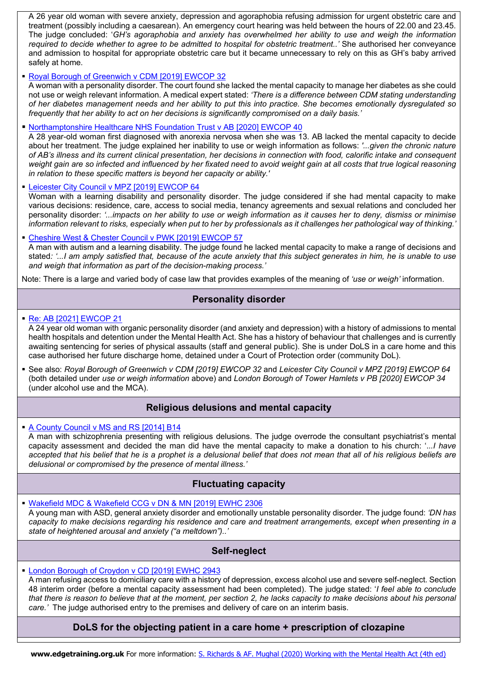A 26 year old woman with severe anxiety, depression and agoraphobia refusing admission for urgent obstetric care and treatment (possibly including a caesarean). An emergency court hearing was held between the hours of 22.00 and 23.45. The judge concluded: '*GH's agoraphobia and anxiety has overwhelmed her ability to use and weigh the information required to decide whether to agree to be admitted to hospital for obstetric treatment..'* She authorised her conveyance and admission to hospital for appropriate obstetric care but it became unnecessary to rely on this as GH's baby arrived safely at home.

#### [Royal Borough of Greenwich v CDM \[2019\] EWCOP 32](https://www.bailii.org/ew/cases/EWCOP/2019/32.html)

A woman with a personality disorder. The court found she lacked the mental capacity to manage her diabetes as she could not use or weigh relevant information. A medical expert stated: *'There is a difference between CDM stating understanding of her diabetes management needs and her ability to put this into practice. She becomes emotionally dysregulated so frequently that her ability to act on her decisions is significantly compromised on a daily basis.'* 

Northamptonshire Healthcare [NHS Foundation Trust v AB \[2020\] EWCOP 40](https://www.bailii.org/ew/cases/EWCOP/2020/40.html) 

A 28 year-old woman first diagnosed with anorexia nervosa when she was 13. AB lacked the mental capacity to decide about her treatment. The judge explained her inability to use or weigh information as follows: *'...given the chronic nature of AB's illness and its current clinical presentation, her decisions in connection with food, calorific intake and consequent weight gain are so infected and influenced by her fixated need to avoid weight gain at all costs that true logical reasoning in relation to these specific matters is beyond her capacity or ability.'*

#### [Leicester City Council v MPZ \[2019\] EWCOP 64](https://www.bailii.org/ew/cases/EWCOP/2019/64.html)

Woman with a learning disability and personality disorder. The judge considered if she had mental capacity to make various decisions: residence, care, access to social media, tenancy agreements and sexual relations and concluded her personality disorder: *'...impacts on her ability to use or weigh information as it causes her to deny, dismiss or minimise information relevant to risks, especially when put to her by professionals as it challenges her pathological way of thinking.* 

[Cheshire West & Chester Council v PWK \[2019\] EWCOP 57](https://www.bailii.org/ew/cases/EWCOP/2019/57.html)

A man with autism and a learning disability. The judge found he lacked mental capacity to make a range of decisions and stated*: '...I am amply satisfied that, because of the acute anxiety that this subject generates in him, he is unable to use and weigh that information as part of the decision-making process.'*

Note: There is a large and varied body of case law that provides examples of the meaning of *'use or weigh'* information.

# **Personality disorder**

#### [Re: AB \[2021\] EWCOP 21](https://www.bailii.org/ew/cases/EWCOP/2021/21.html)

A 24 year old woman with organic personality disorder (and anxiety and depression) with a history of admissions to mental health hospitals and detention under the Mental Health Act. She has a history of behaviour that challenges and is currently awaiting sentencing for series of physical assaults (staff and general public). She is under DoLS in a care home and this case authorised her future discharge home, detained under a Court of Protection order (community DoL).

 See also: *Royal Borough of Greenwich v CDM [2019] EWCOP 32* and *Leicester City Council v MPZ [2019] EWCOP 64* (both detailed under *use or weigh information* above) and *London Borough of Tower Hamlets v PB [2020] EWCOP 34* (under alcohol use and the MCA).

# **Religious delusions and mental capacity**

 [A County Council v MS and RS \[2014\] B14](https://www.bailii.org/ew/cases/EWHC/COP/2014/B14.html) A man with schizophrenia presenting with religious delusions. The judge overrode the consultant psychiatrist's mental capacity assessment and decided the man did have the mental capacity to make a donation to his church: '.*..I have accepted that his belief that he is a prophet is a delusional belief that does not mean that all of his religious beliefs are delusional or compromised by the presence of mental illness.'* 

# **Fluctuating capacity**

[Wakefield MDC & Wakefield CCG v DN & MN \[2019\] EWHC 2306](https://www.bailii.org/ew/cases/EWHC/Fam/2019/2306.html)

A young man with ASD, general anxiety disorder and emotionally unstable personality disorder. The judge found: *'DN has capacity to make decisions regarding his residence and care and treatment arrangements, except when presenting in a state of heightened arousal and anxiety ("a meltdown")..'*

# **Self-neglect**

### [London Borough of Croydon v CD \[2019\] EWHC 2943](https://www.bailii.org/ew/cases/EWHC/Fam/2019/2943.html)

A man refusing access to domiciliary care with a history of depression, excess alcohol use and severe self-neglect. Section 48 interim order (before a mental capacity assessment had been completed). The judge stated: '*I feel able to conclude that there is reason to believe that at the moment, per section 2, he lacks capacity to make decisions about his personal care.'* The judge authorised entry to the premises and delivery of care on an interim basis.

**DoLS for the objecting patient in a care home + prescription of clozapine**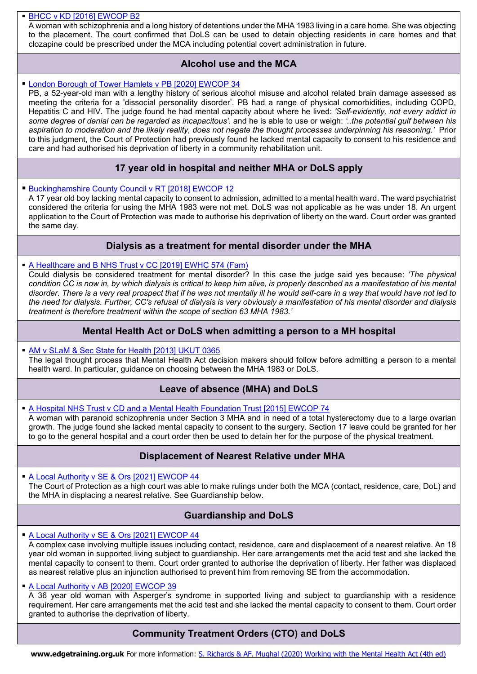### [BHCC v KD \[2016\] EWCOP B2](https://www.bailii.org/ew/cases/EWCOP/2016/B2.html)

A woman with schizophrenia and a long history of detentions under the MHA 1983 living in a care home. She was objecting to the placement. The court confirmed that DoLS can be used to detain objecting residents in care homes and that clozapine could be prescribed under the MCA including potential covert administration in future.

# **Alcohol use and the MCA**

### [London Borough of Tower Hamlets v PB \[2020\] EWCOP 34](https://www.bailii.org/ew/cases/EWCOP/2020/34.html)

PB, a 52-year-old man with a lengthy history of serious alcohol misuse and alcohol related brain damage assessed as meeting the criteria for a 'dissocial personality disorder'. PB had a range of physical comorbidities, including COPD, Hepatitis C and HIV. The judge found he had mental capacity about where he lived: *'Self-evidently, not every addict in some degree of denial can be regarded as incapacitous'.* and he is able to use or weigh: *'..the potential gulf between his aspiration to moderation and the likely reality, does not negate the thought processes underpinning his reasoning.'* Prior to this judgment, the Court of Protection had previously found he lacked mental capacity to consent to his residence and care and had authorised his deprivation of liberty in a community rehabilitation unit.

# **17 year old in hospital and neither MHA or DoLS apply**

**[Buckinghamshire County Council v RT \[2018\] EWCOP 12](https://www.bailii.org/ew/cases/EWCOP/2018/B12.html)** 

A 17 year old boy lacking mental capacity to consent to admission, admitted to a mental health ward. The ward psychiatrist considered the criteria for using the MHA 1983 were not met. DoLS was not applicable as he was under 18. An urgent application to the Court of Protection was made to authorise his deprivation of liberty on the ward. Court order was granted the same day.

# **Dialysis as a treatment for mental disorder under the MHA**

[A Healthcare and B NHS Trust v CC \[2019\] EWHC 574 \(Fam\)](https://www.bailii.org/ew/cases/EWHC/Fam/2020/574.html)

Could dialysis be considered treatment for mental disorder? In this case the judge said yes because: *'The physical condition CC is now in, by which dialysis is critical to keep him alive, is properly described as a manifestation of his mental disorder. There is a very real prospect that if he was not mentally ill he would self-care in a way that would have not led to the need for dialysis. Further, CC's refusal of dialysis is very obviously a manifestation of his mental disorder and dialysis treatment is therefore treatment within the scope of section 63 MHA 1983.'*

# **Mental Health Act or DoLS when admitting a person to a MH hospital**

 [AM v SLaM & Sec State for Health \[2013\] UKUT 0365](https://www.bailii.org/uk/cases/UKUT/AAC/2013/365.html) The legal thought process that Mental Health Act decision makers should follow before admitting a person to a mental health ward. In particular, guidance on choosing between the MHA 1983 or DoLS.

# **Leave of absence (MHA) and DoLS**

[A Hospital NHS Trust v CD and a Mental Health Foundation Trust \[2015\] EWCOP 74](https://www.bailii.org/ew/cases/EWCOP/2015/74.html) A woman with paranoid schizophrenia under Section 3 MHA and in need of a total hysterectomy due to a large ovarian growth. The judge found she lacked mental capacity to consent to the surgery. Section 17 leave could be granted for her to go to the general hospital and a court order then be used to detain her for the purpose of the physical treatment.

# **Displacement of Nearest Relative under MHA**

[A Local Authority v SE & Ors \[2021\] EWCOP 44](https://www.bailii.org/ew/cases/EWCOP/2021/44.html) The Court of Protection as a high court was able to make rulings under both the MCA (contact, residence, care, DoL) and the MHA in displacing a nearest relative. See Guardianship below.

# **Guardianship and DoLS**

[A Local Authority v SE & Ors \[2021\] EWCOP 44](https://www.bailii.org/ew/cases/EWCOP/2021/44.html)

A complex case involving multiple issues including contact, residence, care and displacement of a nearest relative. An 18 year old woman in supported living subject to guardianship. Her care arrangements met the acid test and she lacked the mental capacity to consent to them. Court order granted to authorise the deprivation of liberty. Her father was displaced as nearest relative plus an injunction authorised to prevent him from removing SE from the accommodation.

#### [A Local Authority v AB \[2020\] EWCOP 39](https://www.bailii.org/ew/cases/EWCOP/2020/39.html)

A 36 year old woman with Asperger's syndrome in supported living and subject to guardianship with a residence requirement. Her care arrangements met the acid test and she lacked the mental capacity to consent to them. Court order granted to authorise the deprivation of liberty.

# **Community Treatment Orders (CTO) and DoLS**

**www.edgetraining.org.uk** For more information: [S. Richards & AF. Mughal \(2020\) Working with the Mental Health Act \(4th ed\)](https://www.bookswise.org.uk/mental-health-act)